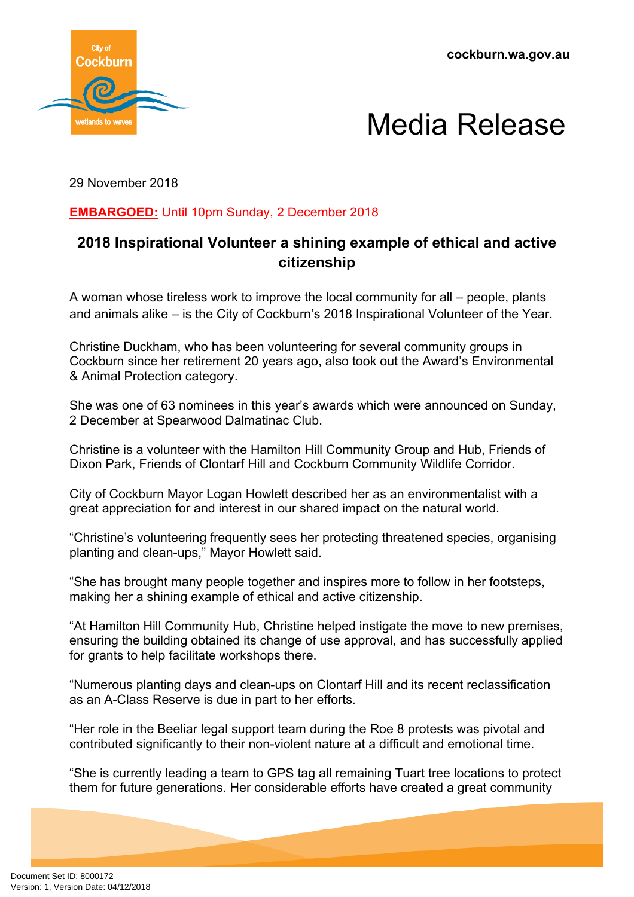



29 November 2018

## **EMBARGOED:** Until 10pm Sunday, 2 December 2018

# **2018 Inspirational Volunteer a shining example of ethical and active citizenship**

A woman whose tireless work to improve the local community for all – people, plants and animals alike – is the City of Cockburn's 2018 Inspirational Volunteer of the Year.

Christine Duckham, who has been volunteering for several community groups in Cockburn since her retirement 20 years ago, also took out the Award's Environmental & Animal Protection category.

She was one of 63 nominees in this year's awards which were announced on Sunday, 2 December at Spearwood Dalmatinac Club.

Christine is a volunteer with the Hamilton Hill Community Group and Hub, Friends of Dixon Park, Friends of Clontarf Hill and Cockburn Community Wildlife Corridor.

City of Cockburn Mayor Logan Howlett described her as an environmentalist with a great appreciation for and interest in our shared impact on the natural world.

"Christine's volunteering frequently sees her protecting threatened species, organising planting and clean-ups," Mayor Howlett said.

"She has brought many people together and inspires more to follow in her footsteps, making her a shining example of ethical and active citizenship.

"At Hamilton Hill Community Hub, Christine helped instigate the move to new premises, ensuring the building obtained its change of use approval, and has successfully applied for grants to help facilitate workshops there.

"Numerous planting days and clean-ups on Clontarf Hill and its recent reclassification as an A-Class Reserve is due in part to her efforts.

"Her role in the Beeliar legal support team during the Roe 8 protests was pivotal and contributed significantly to their non-violent nature at a difficult and emotional time.

"She is currently leading a team to GPS tag all remaining Tuart tree locations to protect them for future generations. Her considerable efforts have created a great community

Document Set ID: 8000172<br>Version: 1, Version Date: 04/12/2018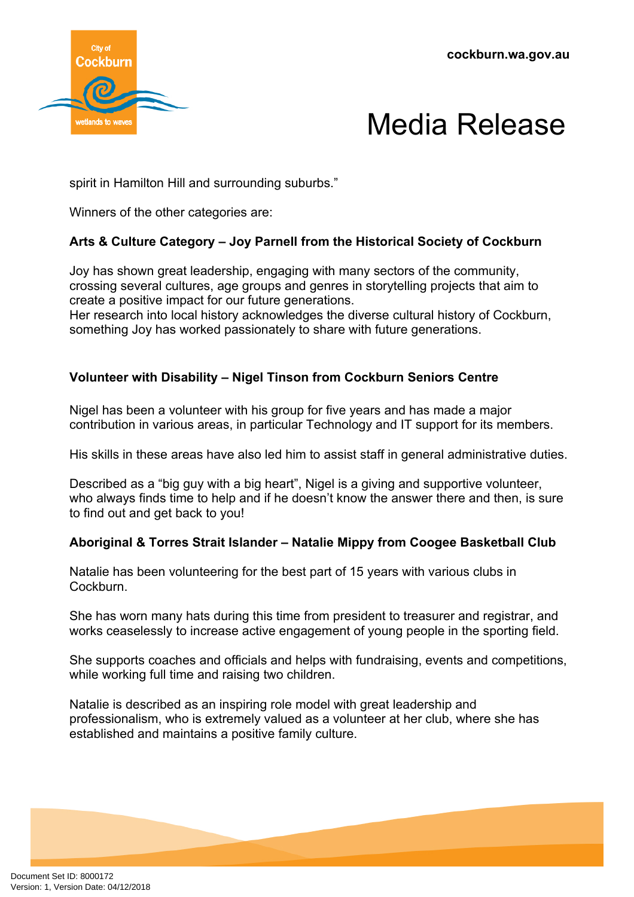



spirit in Hamilton Hill and surrounding suburbs."

Winners of the other categories are:

## **Arts & Culture Category – Joy Parnell from the Historical Society of Cockburn**

Joy has shown great leadership, engaging with many sectors of the community, crossing several cultures, age groups and genres in storytelling projects that aim to create a positive impact for our future generations.

Her research into local history acknowledges the diverse cultural history of Cockburn, something Joy has worked passionately to share with future generations.

### **Volunteer with Disability – Nigel Tinson from Cockburn Seniors Centre**

Nigel has been a volunteer with his group for five years and has made a major contribution in various areas, in particular Technology and IT support for its members.

His skills in these areas have also led him to assist staff in general administrative duties.

Described as a "big guy with a big heart", Nigel is a giving and supportive volunteer, who always finds time to help and if he doesn't know the answer there and then, is sure to find out and get back to you!

### **Aboriginal & Torres Strait Islander – Natalie Mippy from Coogee Basketball Club**

Natalie has been volunteering for the best part of 15 years with various clubs in Cockburn.

She has worn many hats during this time from president to treasurer and registrar, and works ceaselessly to increase active engagement of young people in the sporting field.

She supports coaches and officials and helps with fundraising, events and competitions, while working full time and raising two children.

Natalie is described as an inspiring role model with great leadership and professionalism, who is extremely valued as a volunteer at her club, where she has established and maintains a positive family culture.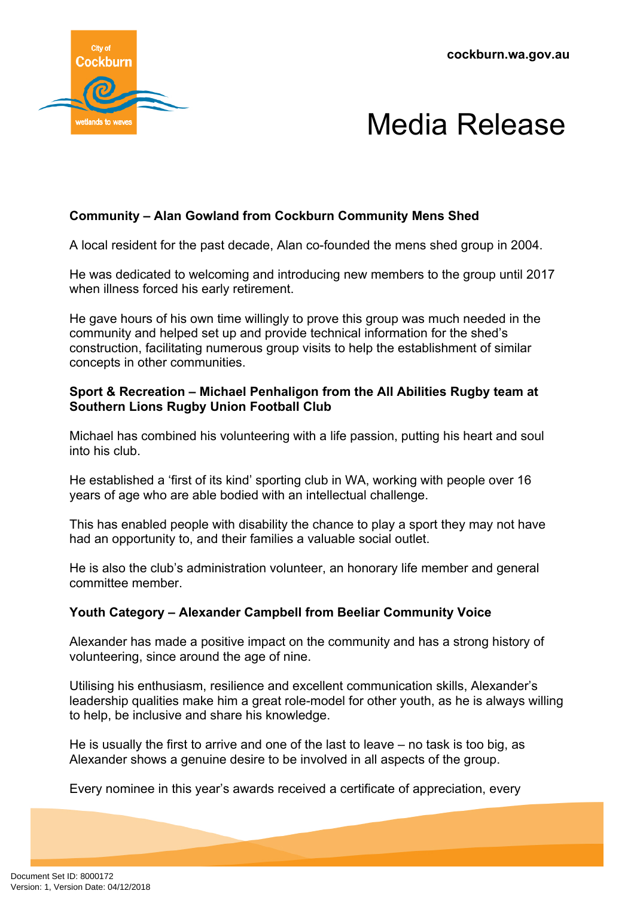



## **Community – Alan Gowland from Cockburn Community Mens Shed**

A local resident for the past decade, Alan co-founded the mens shed group in 2004.

He was dedicated to welcoming and introducing new members to the group until 2017 when illness forced his early retirement.

He gave hours of his own time willingly to prove this group was much needed in the community and helped set up and provide technical information for the shed's construction, facilitating numerous group visits to help the establishment of similar concepts in other communities.

#### **Sport & Recreation – Michael Penhaligon from the All Abilities Rugby team at Southern Lions Rugby Union Football Club**

Michael has combined his volunteering with a life passion, putting his heart and soul into his club.

He established a 'first of its kind' sporting club in WA, working with people over 16 years of age who are able bodied with an intellectual challenge.

This has enabled people with disability the chance to play a sport they may not have had an opportunity to, and their families a valuable social outlet.

He is also the club's administration volunteer, an honorary life member and general committee member.

### **Youth Category – Alexander Campbell from Beeliar Community Voice**

Alexander has made a positive impact on the community and has a strong history of volunteering, since around the age of nine.

Utilising his enthusiasm, resilience and excellent communication skills, Alexander's leadership qualities make him a great role-model for other youth, as he is always willing to help, be inclusive and share his knowledge.

He is usually the first to arrive and one of the last to leave – no task is too big, as Alexander shows a genuine desire to be involved in all aspects of the group.

Every nominee in this year's awards received a certificate of appreciation, every